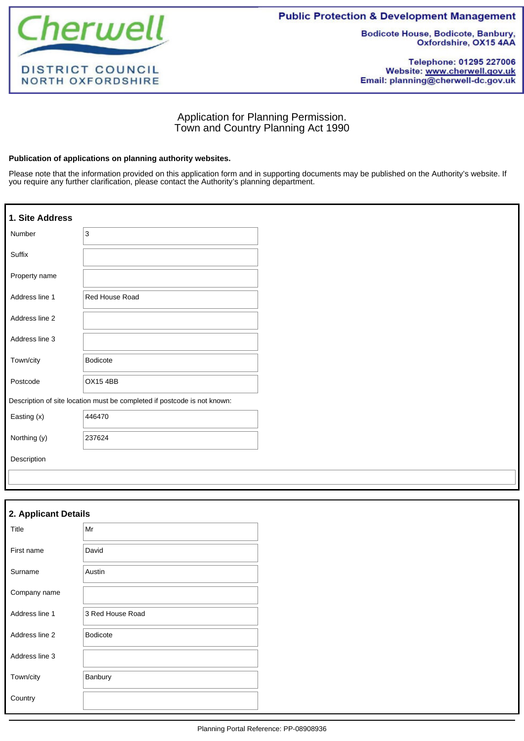

**Public Protection & Development Management** 

**Bodicote House, Bodicote, Banbury,** Oxfordshire, OX15 4AA

Telephone: 01295 227006 Website: www.cherwell.gov.uk Email: planning@cherwell-dc.gov.uk

# Application for Planning Permission. Town and Country Planning Act 1990

#### **Publication of applications on planning authority websites.**

Please note that the information provided on this application form and in supporting documents may be published on the Authority's website. If you require any further clarification, please contact the Authority's planning department.

| 1. Site Address |                                                                          |
|-----------------|--------------------------------------------------------------------------|
| Number          | 3                                                                        |
| Suffix          |                                                                          |
| Property name   |                                                                          |
| Address line 1  | Red House Road                                                           |
| Address line 2  |                                                                          |
| Address line 3  |                                                                          |
| Town/city       | <b>Bodicote</b>                                                          |
| Postcode        | <b>OX154BB</b>                                                           |
|                 | Description of site location must be completed if postcode is not known: |
| Easting (x)     | 446470                                                                   |
| Northing (y)    | 237624                                                                   |
| Description     |                                                                          |
|                 |                                                                          |

| 2. Applicant Details |                  |
|----------------------|------------------|
| Title                | Mr               |
| First name           | David            |
| Surname              | Austin           |
| Company name         |                  |
| Address line 1       | 3 Red House Road |
| Address line 2       | <b>Bodicote</b>  |
| Address line 3       |                  |
| Town/city            | Banbury          |
| Country              |                  |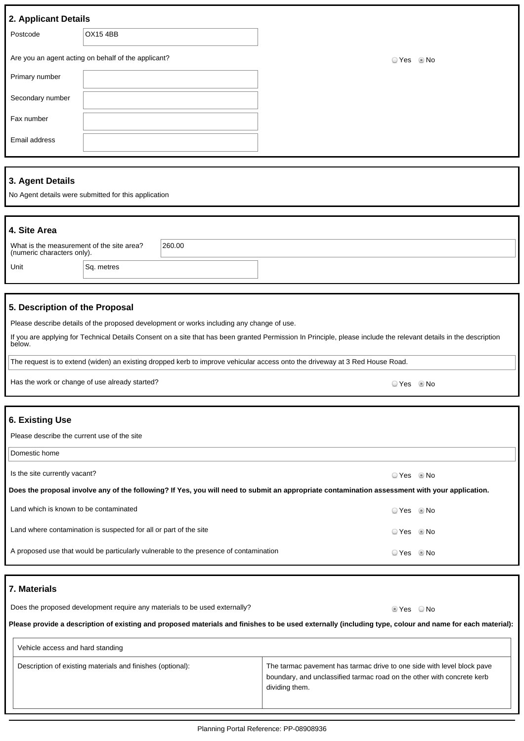| Postcode         | <b>OX15 4BB</b>                                     |          |
|------------------|-----------------------------------------------------|----------|
|                  | Are you an agent acting on behalf of the applicant? | ⊙Yes ⊛No |
| Primary number   |                                                     |          |
| Secondary number |                                                     |          |
| Fax number       |                                                     |          |
| Email address    |                                                     |          |

## **3. Agent Details**

No Agent details were submitted for this application

| 4. Site Area                                                            |            |        |
|-------------------------------------------------------------------------|------------|--------|
| What is the measurement of the site area?<br>(numeric characters only). |            | 260.00 |
| Unit                                                                    | Sq. metres |        |

## **5. Description of the Proposal**

Please describe details of the proposed development or works including any change of use.

If you are applying for Technical Details Consent on a site that has been granted Permission In Principle, please include the relevant details in the description below.

The request is to extend (widen) an existing dropped kerb to improve vehicular access onto the driveway at 3 Red House Road.

| Has the work or change of use already started? | DYes . ®No |  |
|------------------------------------------------|------------|--|
|------------------------------------------------|------------|--|

## **6. Existing Use**

Please describe the current use of the site

Domestic home

Is the site currently vacant?  $\Box$  Yes  $\Box$  No

**Does the proposal involve any of the following? If Yes, you will need to submit an appropriate contamination assessment with your application.**

| Land which is known to be contaminated                                                | ⊙ Yes    | ® No |
|---------------------------------------------------------------------------------------|----------|------|
| Land where contamination is suspected for all or part of the site                     | ⊙Yes ©No |      |
| A proposed use that would be particularly vulnerable to the presence of contamination | ☉ Yes    | l No |

## **7. Materials**

Does the proposed development require any materials to be used externally? Does the proposed of Yes ONo

**Please provide a description of existing and proposed materials and finishes to be used externally (including type, colour and name for each material):**

| Vehicle access and hard standing                           |                                                                                                                                                                    |
|------------------------------------------------------------|--------------------------------------------------------------------------------------------------------------------------------------------------------------------|
| Description of existing materials and finishes (optional): | The tarmac pavement has tarmac drive to one side with level block pave<br>boundary, and unclassified tarmac road on the other with concrete kerb<br>dividing them. |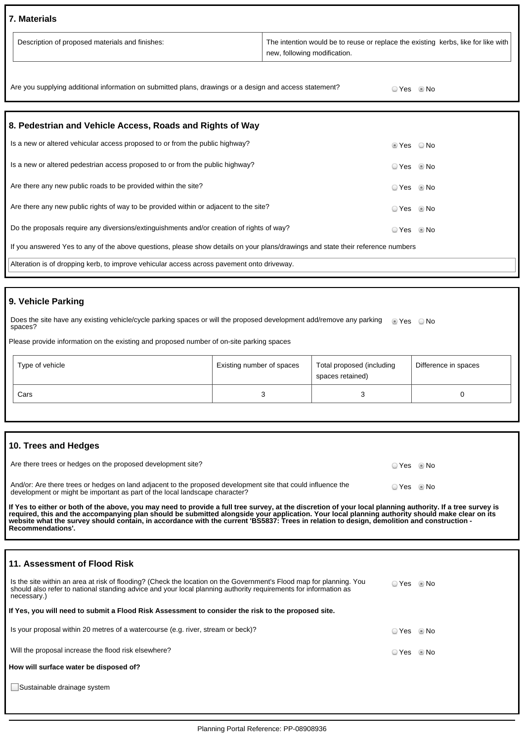### **7. Materials**

| <sup>1</sup> Description of proposed materials and finishes: | The intention would be to reuse or replace the existing kerbs, like for like with<br>I new, following modification. |
|--------------------------------------------------------------|---------------------------------------------------------------------------------------------------------------------|
|--------------------------------------------------------------|---------------------------------------------------------------------------------------------------------------------|

| Are you supplying additional information on submitted plans, drawings or a design and access statement? | ⊇ Yes     ® No |  |
|---------------------------------------------------------------------------------------------------------|----------------|--|
|---------------------------------------------------------------------------------------------------------|----------------|--|

| 8. Pedestrian and Vehicle Access, Roads and Rights of Way                                                                       |                        |      |  |  |
|---------------------------------------------------------------------------------------------------------------------------------|------------------------|------|--|--|
| Is a new or altered vehicular access proposed to or from the public highway?                                                    | $\circ$ Yes $\circ$ No |      |  |  |
| Is a new or altered pedestrian access proposed to or from the public highway?                                                   | ○ Yes ◎ No             |      |  |  |
| Are there any new public roads to be provided within the site?                                                                  | ○ Yes ◎ No             |      |  |  |
| Are there any new public rights of way to be provided within or adjacent to the site?                                           | $OYes$ Mo              |      |  |  |
| Do the proposals require any diversions/extinguishments and/or creation of rights of way?                                       | ◯ Yes                  | © No |  |  |
| If you answered Yes to any of the above questions, please show details on your plans/drawings and state their reference numbers |                        |      |  |  |
| Alteration is of dropping kerb, to improve vehicular access across pavement onto driveway.                                      |                        |      |  |  |

## **9. Vehicle Parking**

Does the site have any existing vehicle/cycle parking spaces or will the proposed development add/remove any parking Does the site have any existing vehicle/cycle parking spaces or will the proposed development add/remove any parking ● Yes ● No<br>spaces?

Please provide information on the existing and proposed number of on-site parking spaces

| Type of vehicle | Existing number of spaces | Total proposed (including<br>spaces retained) | Difference in spaces |
|-----------------|---------------------------|-----------------------------------------------|----------------------|
| Cars            |                           |                                               |                      |

### **10. Trees and Hedges**

| Are there trees or hedges on the proposed development site?                                                                                                                                 | io Yes i No |  |
|---------------------------------------------------------------------------------------------------------------------------------------------------------------------------------------------|-------------|--|
| And/or: Are there trees or hedges on land adjacent to the proposed development site that could influence the<br>development or might be important as part of the local landscape character? | ⊙ Yes © No  |  |

If Yes to either or both of the above, you may need to provide a full tree survey, at the discretion of your local planning authority. If a tree survey is<br>required, this and the accompanying plan should be submitted alongs **Recommendations'.**

#### **11. Assessment of Flood Risk**

| Is the site within an area at risk of flooding? (Check the location on the Government's Flood map for planning. You<br>should also refer to national standing advice and your local planning authority requirements for information as<br>necessary.) | ○ Yes      | ® No |
|-------------------------------------------------------------------------------------------------------------------------------------------------------------------------------------------------------------------------------------------------------|------------|------|
| If Yes, you will need to submit a Flood Risk Assessment to consider the risk to the proposed site.                                                                                                                                                    |            |      |
| Is your proposal within 20 metres of a watercourse (e.g. river, stream or beck)?                                                                                                                                                                      | ○ Yes ◎ No |      |
| Will the proposal increase the flood risk elsewhere?                                                                                                                                                                                                  | ○ Yes      | ® No |
| How will surface water be disposed of?                                                                                                                                                                                                                |            |      |
| Sustainable drainage system                                                                                                                                                                                                                           |            |      |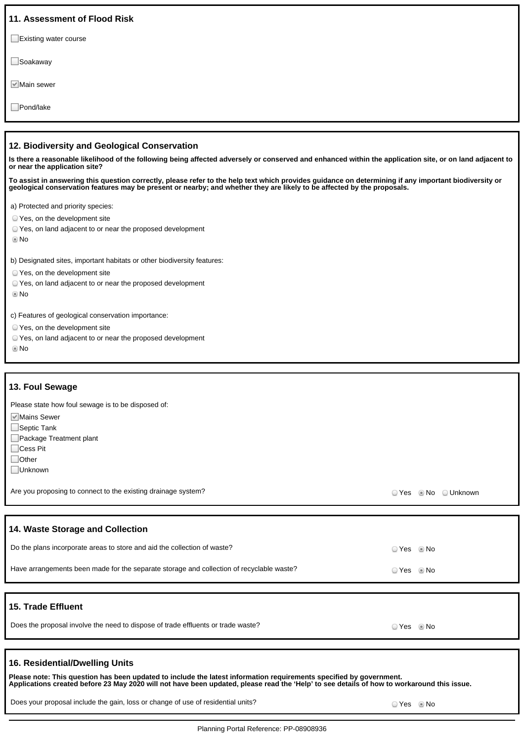| 11. Assessment of Flood Risk                                                                                                                                                                                                                                                     |
|----------------------------------------------------------------------------------------------------------------------------------------------------------------------------------------------------------------------------------------------------------------------------------|
| $\Box$ Existing water course                                                                                                                                                                                                                                                     |
| $\Box$ Soakaway                                                                                                                                                                                                                                                                  |
| <u>I</u> <sup>√</sup> Main sewer                                                                                                                                                                                                                                                 |
| Pond/lake                                                                                                                                                                                                                                                                        |
|                                                                                                                                                                                                                                                                                  |
| 12. Biodiversity and Geological Conservation<br>Is there a reasonable likelihood of the following being affected adversely or conserved and enhanced within the application site, or on land adjacent to<br>or near the application site?                                        |
| To assist in answering this question correctly, please refer to the help text which provides guidance on determining if any important biodiversity or<br>geological conservation features may be present or nearby; and whether they are likely to be affected by the proposals. |
| a) Protected and priority species:                                                                                                                                                                                                                                               |
| ○ Yes, on the development site                                                                                                                                                                                                                                                   |
| ○ Yes, on land adjacent to or near the proposed development<br>© No                                                                                                                                                                                                              |
| b) Designated sites, important habitats or other biodiversity features:                                                                                                                                                                                                          |
| ○ Yes, on the development site                                                                                                                                                                                                                                                   |
| ○ Yes, on land adjacent to or near the proposed development<br>© No                                                                                                                                                                                                              |
| c) Features of geological conservation importance:                                                                                                                                                                                                                               |
| Noc on the development city                                                                                                                                                                                                                                                      |

- Yes, on the development site
- Yes, on land adjacent to or near the proposed development
- No

#### **13. Foul Sewage**

Please state how foul sewage is to be disposed of:

- **Mains Sewer**
- Septic Tank
- Package Treatment plant
- □Cess Pit
- □Other
- Unknown

Are you proposing to connect to the existing drainage system?<br>
Are you proposing to connect to the existing drainage system?

### **14. Waste Storage and Collection**

| Do the plans incorporate areas to store and aid the collection of waste?                 | ⊙ Yes     ® No |                |
|------------------------------------------------------------------------------------------|----------------|----------------|
| Have arrangements been made for the separate storage and collection of recyclable waste? |                | ⊙ Yes     ® No |
|                                                                                          |                |                |
| .<br>----                                                                                |                |                |

### **15. Trade Effluent**

## **16. Residential/Dwelling Units**

Please note: This question has been updated to include the latest information requirements specified by government.<br>Applications created before 23 May 2020 will not have been updated, please read the 'Help' to see details

Does your proposal include the gain, loss or change of use of residential units?<br>
O Yes No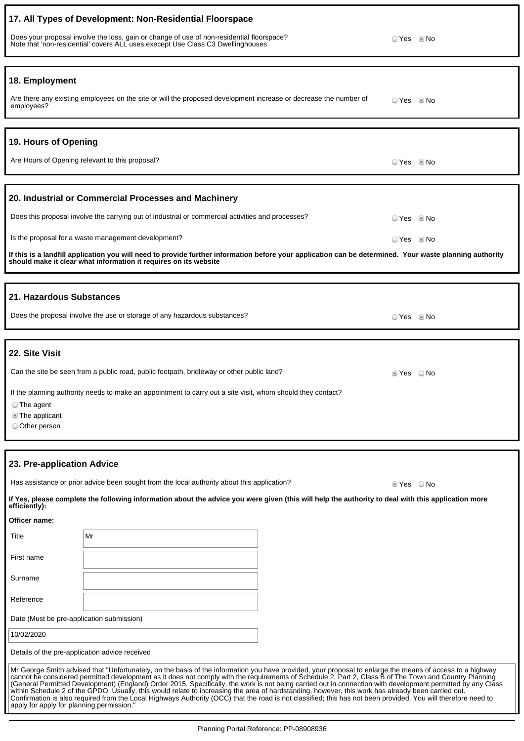| 17. All Types of Development: Non-Residential Floorspace                                                                                                                                                                                                                                                                                                                                                                                                                                                                                                                                                                                                                                                                                                                                                                                               |                                                                                                                                                                                                                             |  |            |
|--------------------------------------------------------------------------------------------------------------------------------------------------------------------------------------------------------------------------------------------------------------------------------------------------------------------------------------------------------------------------------------------------------------------------------------------------------------------------------------------------------------------------------------------------------------------------------------------------------------------------------------------------------------------------------------------------------------------------------------------------------------------------------------------------------------------------------------------------------|-----------------------------------------------------------------------------------------------------------------------------------------------------------------------------------------------------------------------------|--|------------|
|                                                                                                                                                                                                                                                                                                                                                                                                                                                                                                                                                                                                                                                                                                                                                                                                                                                        | Does your proposal involve the loss, gain or change of use of non-residential floorspace?<br>Note that 'non-residential' covers ALL uses execept Use Class C3 Dwellinghouses                                                |  |            |
| 18. Employment                                                                                                                                                                                                                                                                                                                                                                                                                                                                                                                                                                                                                                                                                                                                                                                                                                         |                                                                                                                                                                                                                             |  |            |
| employees?                                                                                                                                                                                                                                                                                                                                                                                                                                                                                                                                                                                                                                                                                                                                                                                                                                             | Are there any existing employees on the site or will the proposed development increase or decrease the number of                                                                                                            |  | ⊙ Yes © No |
| 19. Hours of Opening                                                                                                                                                                                                                                                                                                                                                                                                                                                                                                                                                                                                                                                                                                                                                                                                                                   |                                                                                                                                                                                                                             |  |            |
|                                                                                                                                                                                                                                                                                                                                                                                                                                                                                                                                                                                                                                                                                                                                                                                                                                                        | Are Hours of Opening relevant to this proposal?                                                                                                                                                                             |  | © Yes ◎ No |
|                                                                                                                                                                                                                                                                                                                                                                                                                                                                                                                                                                                                                                                                                                                                                                                                                                                        | 20. Industrial or Commercial Processes and Machinery                                                                                                                                                                        |  |            |
|                                                                                                                                                                                                                                                                                                                                                                                                                                                                                                                                                                                                                                                                                                                                                                                                                                                        | Does this proposal involve the carrying out of industrial or commercial activities and processes?                                                                                                                           |  | © Yes © No |
|                                                                                                                                                                                                                                                                                                                                                                                                                                                                                                                                                                                                                                                                                                                                                                                                                                                        | Is the proposal for a waste management development?                                                                                                                                                                         |  | ○ Yes ◎ No |
|                                                                                                                                                                                                                                                                                                                                                                                                                                                                                                                                                                                                                                                                                                                                                                                                                                                        | If this is a landfill application you will need to provide further information before your application can be determined. Your waste planning authority<br>should make it clear what information it requires on its website |  |            |
| 21. Hazardous Substances                                                                                                                                                                                                                                                                                                                                                                                                                                                                                                                                                                                                                                                                                                                                                                                                                               |                                                                                                                                                                                                                             |  |            |
|                                                                                                                                                                                                                                                                                                                                                                                                                                                                                                                                                                                                                                                                                                                                                                                                                                                        | Does the proposal involve the use or storage of any hazardous substances?                                                                                                                                                   |  | ⊙ Yes © No |
| 22. Site Visit                                                                                                                                                                                                                                                                                                                                                                                                                                                                                                                                                                                                                                                                                                                                                                                                                                         |                                                                                                                                                                                                                             |  |            |
|                                                                                                                                                                                                                                                                                                                                                                                                                                                                                                                                                                                                                                                                                                                                                                                                                                                        | Can the site be seen from a public road, public footpath, bridleway or other public land?                                                                                                                                   |  | tes ONo    |
| If the planning authority needs to make an appointment to carry out a site visit, whom should they contact?<br>The agent<br>The applicant<br>O Other person                                                                                                                                                                                                                                                                                                                                                                                                                                                                                                                                                                                                                                                                                            |                                                                                                                                                                                                                             |  |            |
|                                                                                                                                                                                                                                                                                                                                                                                                                                                                                                                                                                                                                                                                                                                                                                                                                                                        |                                                                                                                                                                                                                             |  |            |
| 23. Pre-application Advice                                                                                                                                                                                                                                                                                                                                                                                                                                                                                                                                                                                                                                                                                                                                                                                                                             |                                                                                                                                                                                                                             |  |            |
|                                                                                                                                                                                                                                                                                                                                                                                                                                                                                                                                                                                                                                                                                                                                                                                                                                                        | Has assistance or prior advice been sought from the local authority about this application?                                                                                                                                 |  | ■ Yes   No |
| efficiently):                                                                                                                                                                                                                                                                                                                                                                                                                                                                                                                                                                                                                                                                                                                                                                                                                                          | If Yes, please complete the following information about the advice you were given (this will help the authority to deal with this application more                                                                          |  |            |
| Officer name:                                                                                                                                                                                                                                                                                                                                                                                                                                                                                                                                                                                                                                                                                                                                                                                                                                          |                                                                                                                                                                                                                             |  |            |
| Title                                                                                                                                                                                                                                                                                                                                                                                                                                                                                                                                                                                                                                                                                                                                                                                                                                                  | Mr                                                                                                                                                                                                                          |  |            |
| First name                                                                                                                                                                                                                                                                                                                                                                                                                                                                                                                                                                                                                                                                                                                                                                                                                                             |                                                                                                                                                                                                                             |  |            |
| Surname                                                                                                                                                                                                                                                                                                                                                                                                                                                                                                                                                                                                                                                                                                                                                                                                                                                |                                                                                                                                                                                                                             |  |            |
| Reference                                                                                                                                                                                                                                                                                                                                                                                                                                                                                                                                                                                                                                                                                                                                                                                                                                              |                                                                                                                                                                                                                             |  |            |
| Date (Must be pre-application submission)                                                                                                                                                                                                                                                                                                                                                                                                                                                                                                                                                                                                                                                                                                                                                                                                              |                                                                                                                                                                                                                             |  |            |
| 10/02/2020<br>Details of the pre-application advice received                                                                                                                                                                                                                                                                                                                                                                                                                                                                                                                                                                                                                                                                                                                                                                                           |                                                                                                                                                                                                                             |  |            |
| Mr George Smith advised that "Unfortunately, on the basis of the information you have provided, your proposal to enlarge the means of access to a highway<br>cannot be considered permitted development as it does not comply with the requirements of Schedule 2, Part 2, Class B of The Town and Country Planning<br>(General Permitted Development) (England) Order 2015. Specifically, the work is not being carried out in connection with development permitted by any Class<br>within Schedule 2 of the GPDO. Usually, this would relate to increasing the area of hardstanding, however, this work has already been carried out.<br>Confirmation is also required from the Local Highways Authority (OCC) that the road is not classified; this has not been provided. You will therefore need to<br>apply for apply for planning permission." |                                                                                                                                                                                                                             |  |            |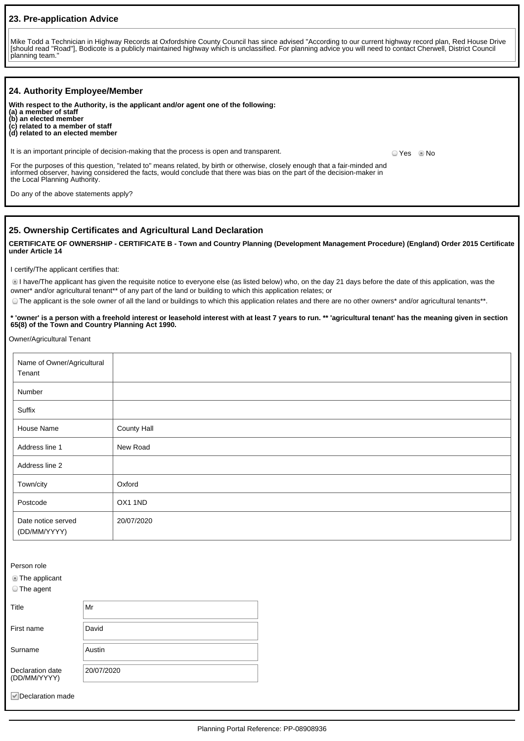### **23. Pre-application Advice**

Mike Todd a Technician in Highway Records at Oxfordshire County Council has since advised "According to our current highway record plan, Red House Drive [should read "Road"], Bodicote is a publicly maintained highway which is unclassified. For planning advice you will need to contact Cherwell, District Council planning team."

| 24. Authority Employee/Member                                                                                                                                                                                                                                                           |            |  |
|-----------------------------------------------------------------------------------------------------------------------------------------------------------------------------------------------------------------------------------------------------------------------------------------|------------|--|
| With respect to the Authority, is the applicant and/or agent one of the following:<br>(a) a member of staff<br>(b) an elected member<br>(c) related to a member of staff<br>(d) related to an elected member                                                                            |            |  |
| It is an important principle of decision-making that the process is open and transparent.                                                                                                                                                                                               | © Yes ◎ No |  |
| For the purposes of this question, "related to" means related, by birth or otherwise, closely enough that a fair-minded and<br>informed observer, having considered the facts, would conclude that there was bias on the part of the decision-maker in<br>the Local Planning Authority. |            |  |
| Do any of the above statements apply?                                                                                                                                                                                                                                                   |            |  |

#### **25. Ownership Certificates and Agricultural Land Declaration**

**CERTIFICATE OF OWNERSHIP - CERTIFICATE B - Town and Country Planning (Development Management Procedure) (England) Order 2015 Certificate under Article 14**

I certify/The applicant certifies that:

I have/The applicant has given the requisite notice to everyone else (as listed below) who, on the day 21 days before the date of this application, was the owner\* and/or agricultural tenant\*\* of any part of the land or building to which this application relates; or

The applicant is the sole owner of all the land or buildings to which this application relates and there are no other owners\* and/or agricultural tenants\*\*.

#### **\* 'owner' is a person with a freehold interest or leasehold interest with at least 7 years to run. \*\* 'agricultural tenant' has the meaning given in section 65(8) of the Town and Country Planning Act 1990.**

Owner/Agricultural Tenant

| Name of Owner/Agricultural<br>Tenant |             |
|--------------------------------------|-------------|
| Number                               |             |
| Suffix                               |             |
| House Name                           | County Hall |
| Address line 1                       | New Road    |
| Address line 2                       |             |
| Town/city                            | Oxford      |
| Postcode                             | OX1 1ND     |
| Date notice served<br>(DD/MM/YYYY)   | 20/07/2020  |

Person role

**The applicant** 

The agent

| Title                            | Mr         |
|----------------------------------|------------|
| First name                       | David      |
| Surname                          | Austin     |
| Declaration date<br>(DD/MM/YYYY) | 20/07/2020 |
| Declaration made<br>$\vee$       |            |